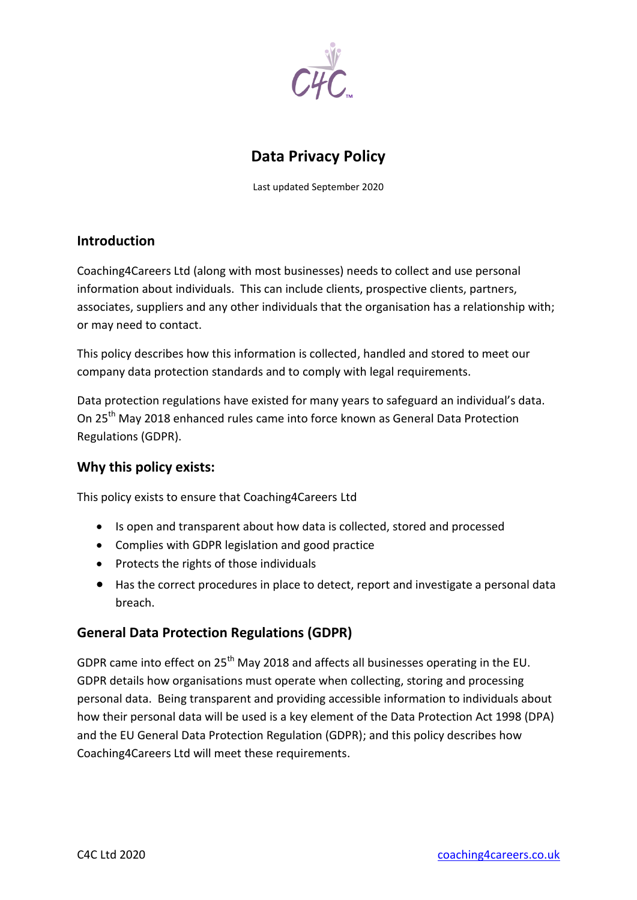

# **Data Privacy Policy**

Last updated September 2020

## **Introduction**

Coaching4Careers Ltd (along with most businesses) needs to collect and use personal information about individuals. This can include clients, prospective clients, partners, associates, suppliers and any other individuals that the organisation has a relationship with; or may need to contact.

This policy describes how this information is collected, handled and stored to meet our company data protection standards and to comply with legal requirements.

Data protection regulations have existed for many years to safeguard an individual's data. On 25th May 2018 enhanced rules came into force known as General Data Protection Regulations (GDPR).

#### **Why this policy exists:**

This policy exists to ensure that Coaching4Careers Ltd

- Is open and transparent about how data is collected, stored and processed
- Complies with GDPR legislation and good practice
- Protects the rights of those individuals
- Has the correct procedures in place to detect, report and investigate a personal data breach.

# **General Data Protection Regulations (GDPR)**

GDPR came into effect on  $25<sup>th</sup>$  May 2018 and affects all businesses operating in the EU. GDPR details how organisations must operate when collecting, storing and processing personal data. Being transparent and providing accessible information to individuals about how their personal data will be used is a key element of the Data Protection Act 1998 (DPA) and the EU General Data Protection Regulation (GDPR); and this policy describes how Coaching4Careers Ltd will meet these requirements.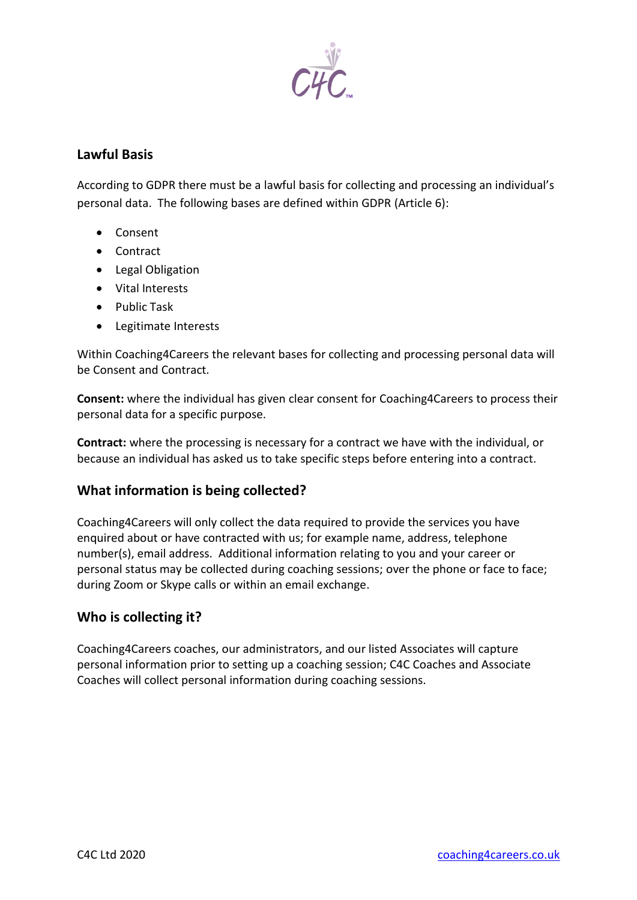

### **Lawful Basis**

According to GDPR there must be a lawful basis for collecting and processing an individual's personal data. The following bases are defined within GDPR (Article 6):

- Consent
- Contract
- Legal Obligation
- Vital Interests
- Public Task
- Legitimate Interests

Within Coaching4Careers the relevant bases for collecting and processing personal data will be Consent and Contract.

**Consent:** where the individual has given clear consent for Coaching4Careers to process their personal data for a specific purpose.

**Contract:** where the processing is necessary for a contract we have with the individual, or because an individual has asked us to take specific steps before entering into a contract.

#### **What information is being collected?**

Coaching4Careers will only collect the data required to provide the services you have enquired about or have contracted with us; for example name, address, telephone number(s), email address. Additional information relating to you and your career or personal status may be collected during coaching sessions; over the phone or face to face; during Zoom or Skype calls or within an email exchange.

#### **Who is collecting it?**

Coaching4Careers coaches, our administrators, and our listed Associates will capture personal information prior to setting up a coaching session; C4C Coaches and Associate Coaches will collect personal information during coaching sessions.